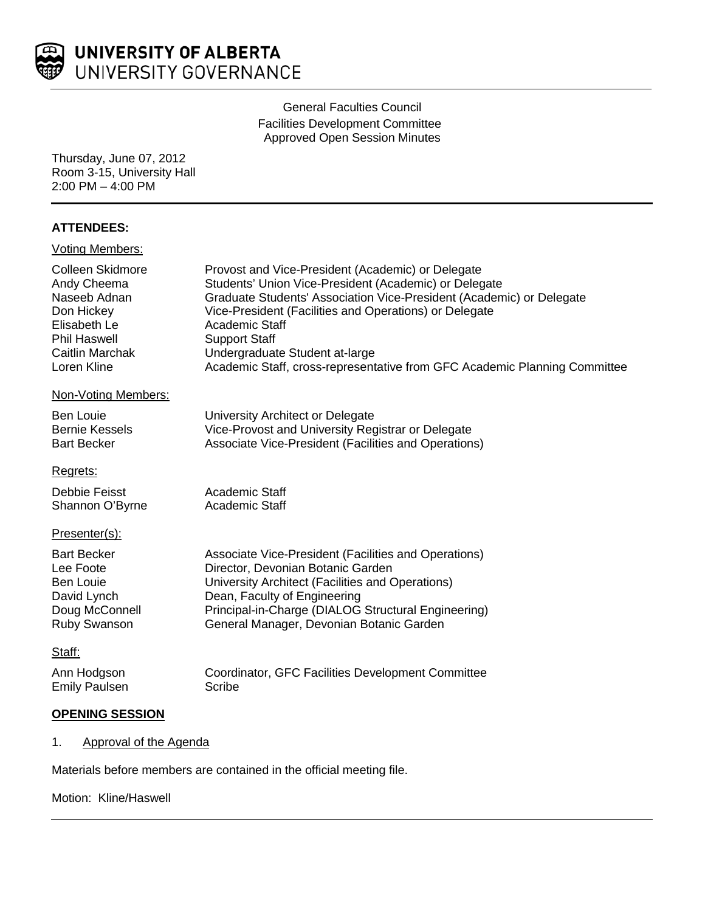

# General Faculties Council Facilities Development Committee Approved Open Session Minutes

Thursday, June 07, 2012 Room 3-15, University Hall 2:00 PM – 4:00 PM

# **ATTENDEES:**

| <b>Voting Members:</b> |                                                                           |
|------------------------|---------------------------------------------------------------------------|
| Colleen Skidmore       | Provost and Vice-President (Academic) or Delegate                         |
| Andy Cheema            | Students' Union Vice-President (Academic) or Delegate                     |
| Naseeb Adnan           | Graduate Students' Association Vice-President (Academic) or Delegate      |
| Don Hickey             | Vice-President (Facilities and Operations) or Delegate                    |
| Elisabeth Le           | Academic Staff                                                            |
| <b>Phil Haswell</b>    | <b>Support Staff</b>                                                      |
| Caitlin Marchak        | Undergraduate Student at-large                                            |
| Loren Kline            | Academic Staff, cross-representative from GFC Academic Planning Committee |
| Non-Voting Members:    |                                                                           |
| <b>Ben Louie</b>       | University Architect or Delegate                                          |
| <b>Bernie Kessels</b>  | Vice-Provost and University Registrar or Delegate                         |
| <b>Bart Becker</b>     | Associate Vice-President (Facilities and Operations)                      |
| Regrets:               |                                                                           |
| Debbie Feisst          | Academic Staff                                                            |
| Shannon O'Byrne        | Academic Staff                                                            |
| Presenter(s):          |                                                                           |
| <b>Bart Becker</b>     | Associate Vice-President (Facilities and Operations)                      |
| Lee Foote              | Director, Devonian Botanic Garden                                         |
| <b>Ben Louie</b>       | University Architect (Facilities and Operations)                          |
| David Lynch            | Dean, Faculty of Engineering                                              |
| Doug McConnell         | Principal-in-Charge (DIALOG Structural Engineering)                       |
| Ruby Swanson           | General Manager, Devonian Botanic Garden                                  |
| Staff:                 |                                                                           |
| Ann Hodgson            | Coordinator, GFC Facilities Development Committee                         |
| <b>Emily Paulsen</b>   | <b>Scribe</b>                                                             |

# **OPENING SESSION**

1. Approval of the Agenda

Materials before members are contained in the official meeting file.

# Motion: Kline/Haswell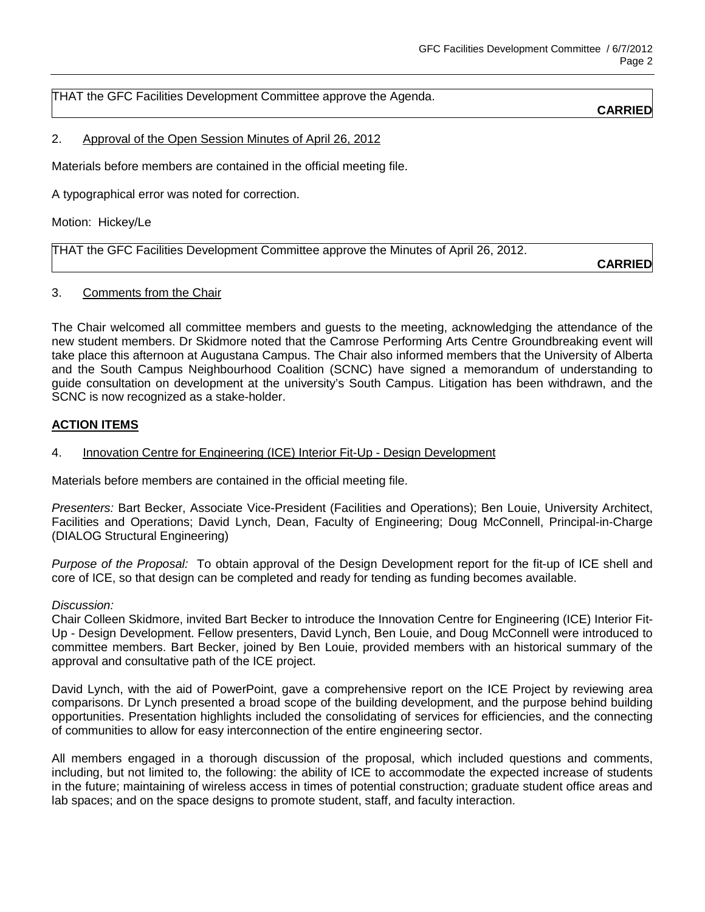THAT the GFC Facilities Development Committee approve the Agenda.

# **CARRIED**

## 2. Approval of the Open Session Minutes of April 26, 2012

Materials before members are contained in the official meeting file.

A typographical error was noted for correction.

Motion: Hickey/Le

THAT the GFC Facilities Development Committee approve the Minutes of April 26, 2012.

**CARRIED**

#### 3. Comments from the Chair

The Chair welcomed all committee members and guests to the meeting, acknowledging the attendance of the new student members. Dr Skidmore noted that the Camrose Performing Arts Centre Groundbreaking event will take place this afternoon at Augustana Campus. The Chair also informed members that the University of Alberta and the South Campus Neighbourhood Coalition (SCNC) have signed a memorandum of understanding to guide consultation on development at the university's South Campus. Litigation has been withdrawn, and the SCNC is now recognized as a stake-holder.

### **ACTION ITEMS**

## 4. Innovation Centre for Engineering (ICE) Interior Fit-Up - Design Development

Materials before members are contained in the official meeting file.

*Presenters:* Bart Becker, Associate Vice-President (Facilities and Operations); Ben Louie, University Architect, Facilities and Operations; David Lynch, Dean, Faculty of Engineering; Doug McConnell, Principal-in-Charge (DIALOG Structural Engineering)

*Purpose of the Proposal:* To obtain approval of the Design Development report for the fit-up of ICE shell and core of ICE, so that design can be completed and ready for tending as funding becomes available.

#### *Discussion:*

Chair Colleen Skidmore, invited Bart Becker to introduce the Innovation Centre for Engineering (ICE) Interior Fit-Up - Design Development. Fellow presenters, David Lynch, Ben Louie, and Doug McConnell were introduced to committee members. Bart Becker, joined by Ben Louie, provided members with an historical summary of the approval and consultative path of the ICE project.

David Lynch, with the aid of PowerPoint, gave a comprehensive report on the ICE Project by reviewing area comparisons. Dr Lynch presented a broad scope of the building development, and the purpose behind building opportunities. Presentation highlights included the consolidating of services for efficiencies, and the connecting of communities to allow for easy interconnection of the entire engineering sector.

All members engaged in a thorough discussion of the proposal, which included questions and comments, including, but not limited to, the following: the ability of ICE to accommodate the expected increase of students in the future; maintaining of wireless access in times of potential construction; graduate student office areas and lab spaces; and on the space designs to promote student, staff, and faculty interaction.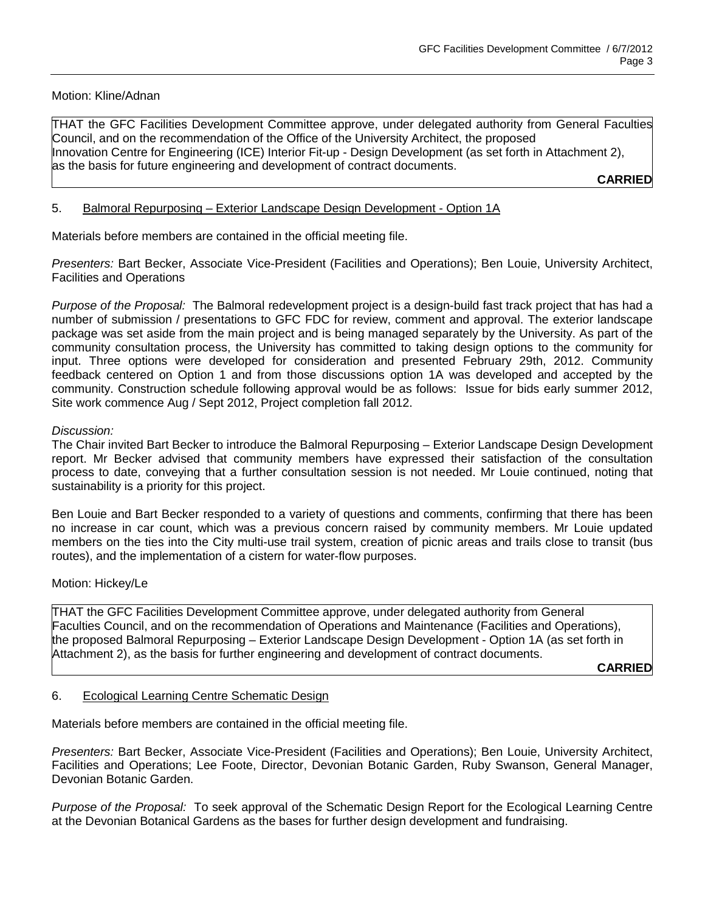Motion: Kline/Adnan

THAT the GFC Facilities Development Committee approve, under delegated authority from General Faculties Council, and on the recommendation of the Office of the University Architect, the proposed Innovation Centre for Engineering (ICE) Interior Fit-up - Design Development (as set forth in Attachment 2), as the basis for future engineering and development of contract documents.

**CARRIED**

# 5. Balmoral Repurposing - Exterior Landscape Design Development - Option 1A

Materials before members are contained in the official meeting file.

*Presenters:* Bart Becker, Associate Vice-President (Facilities and Operations); Ben Louie, University Architect, Facilities and Operations

*Purpose of the Proposal:* The Balmoral redevelopment project is a design-build fast track project that has had a number of submission / presentations to GFC FDC for review, comment and approval. The exterior landscape package was set aside from the main project and is being managed separately by the University. As part of the community consultation process, the University has committed to taking design options to the community for input. Three options were developed for consideration and presented February 29th, 2012. Community feedback centered on Option 1 and from those discussions option 1A was developed and accepted by the community. Construction schedule following approval would be as follows: Issue for bids early summer 2012, Site work commence Aug / Sept 2012, Project completion fall 2012.

### *Discussion:*

The Chair invited Bart Becker to introduce the Balmoral Repurposing – Exterior Landscape Design Development report. Mr Becker advised that community members have expressed their satisfaction of the consultation process to date, conveying that a further consultation session is not needed. Mr Louie continued, noting that sustainability is a priority for this project.

Ben Louie and Bart Becker responded to a variety of questions and comments, confirming that there has been no increase in car count, which was a previous concern raised by community members. Mr Louie updated members on the ties into the City multi-use trail system, creation of picnic areas and trails close to transit (bus routes), and the implementation of a cistern for water-flow purposes.

Motion: Hickey/Le

THAT the GFC Facilities Development Committee approve, under delegated authority from General Faculties Council, and on the recommendation of Operations and Maintenance (Facilities and Operations), the proposed Balmoral Repurposing – Exterior Landscape Design Development - Option 1A (as set forth in Attachment 2), as the basis for further engineering and development of contract documents.

**CARRIED**

### 6. Ecological Learning Centre Schematic Design

Materials before members are contained in the official meeting file.

*Presenters:* Bart Becker, Associate Vice-President (Facilities and Operations); Ben Louie, University Architect, Facilities and Operations; Lee Foote, Director, Devonian Botanic Garden, Ruby Swanson, General Manager, Devonian Botanic Garden.

*Purpose of the Proposal:* To seek approval of the Schematic Design Report for the Ecological Learning Centre at the Devonian Botanical Gardens as the bases for further design development and fundraising.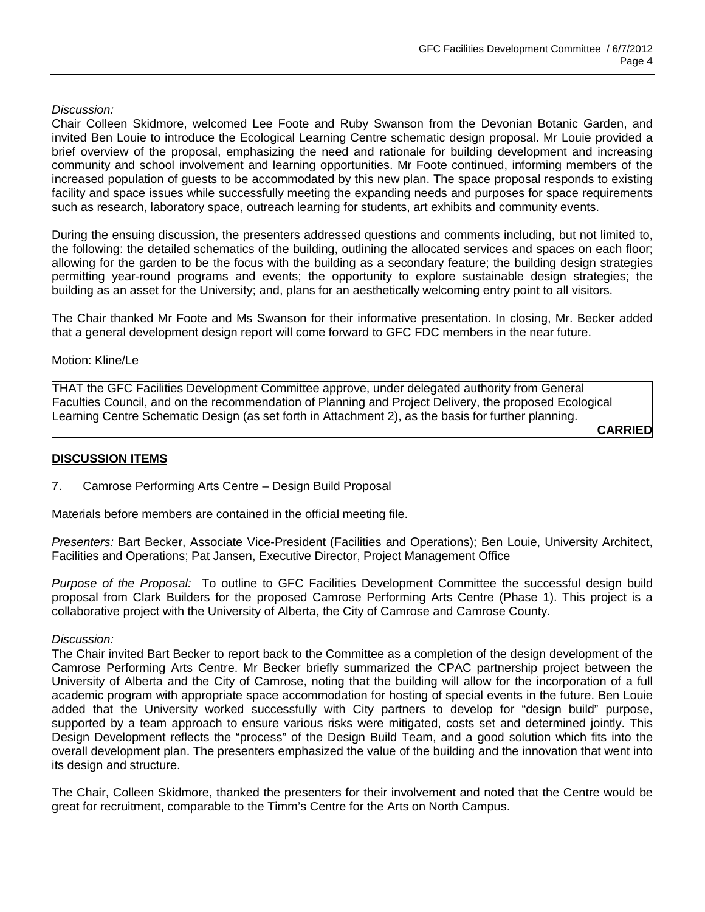### *Discussion:*

Chair Colleen Skidmore, welcomed Lee Foote and Ruby Swanson from the Devonian Botanic Garden, and invited Ben Louie to introduce the Ecological Learning Centre schematic design proposal. Mr Louie provided a brief overview of the proposal, emphasizing the need and rationale for building development and increasing community and school involvement and learning opportunities. Mr Foote continued, informing members of the increased population of guests to be accommodated by this new plan. The space proposal responds to existing facility and space issues while successfully meeting the expanding needs and purposes for space requirements such as research, laboratory space, outreach learning for students, art exhibits and community events.

During the ensuing discussion, the presenters addressed questions and comments including, but not limited to, the following: the detailed schematics of the building, outlining the allocated services and spaces on each floor; allowing for the garden to be the focus with the building as a secondary feature; the building design strategies permitting year-round programs and events; the opportunity to explore sustainable design strategies; the building as an asset for the University; and, plans for an aesthetically welcoming entry point to all visitors.

The Chair thanked Mr Foote and Ms Swanson for their informative presentation. In closing, Mr. Becker added that a general development design report will come forward to GFC FDC members in the near future.

#### Motion: Kline/Le

THAT the GFC Facilities Development Committee approve, under delegated authority from General Faculties Council, and on the recommendation of Planning and Project Delivery, the proposed Ecological Learning Centre Schematic Design (as set forth in Attachment 2), as the basis for further planning.

**CARRIED**

### **DISCUSSION ITEMS**

### 7. Camrose Performing Arts Centre – Design Build Proposal

Materials before members are contained in the official meeting file.

*Presenters:* Bart Becker, Associate Vice-President (Facilities and Operations); Ben Louie, University Architect, Facilities and Operations; Pat Jansen, Executive Director, Project Management Office

*Purpose of the Proposal:* To outline to GFC Facilities Development Committee the successful design build proposal from Clark Builders for the proposed Camrose Performing Arts Centre (Phase 1). This project is a collaborative project with the University of Alberta, the City of Camrose and Camrose County.

#### *Discussion:*

The Chair invited Bart Becker to report back to the Committee as a completion of the design development of the Camrose Performing Arts Centre. Mr Becker briefly summarized the CPAC partnership project between the University of Alberta and the City of Camrose, noting that the building will allow for the incorporation of a full academic program with appropriate space accommodation for hosting of special events in the future. Ben Louie added that the University worked successfully with City partners to develop for "design build" purpose, supported by a team approach to ensure various risks were mitigated, costs set and determined jointly. This Design Development reflects the "process" of the Design Build Team, and a good solution which fits into the overall development plan. The presenters emphasized the value of the building and the innovation that went into its design and structure.

The Chair, Colleen Skidmore, thanked the presenters for their involvement and noted that the Centre would be great for recruitment, comparable to the Timm's Centre for the Arts on North Campus.